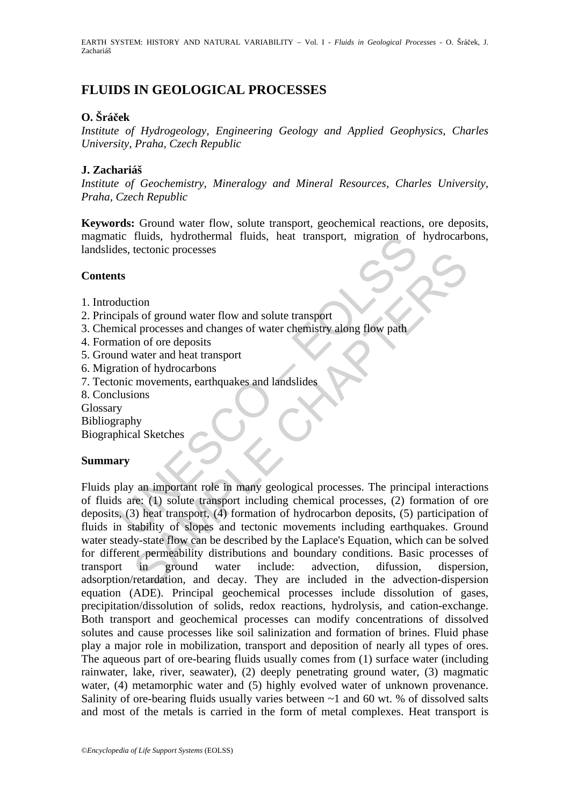EARTH SYSTEM: HISTORY AND NATURAL VARIABILITY – Vol. I - *Fluids in Geological Processes* - O. Šráček, J. Zachariáš

# **FLUIDS IN GEOLOGICAL PROCESSES**

## **O. Šráček**

*Institute of Hydrogeology, Engineering Geology and Applied Geophysics, Charles University, Praha, Czech Republic* 

## **J. Zachariáš**

*Institute of Geochemistry, Mineralogy and Mineral Resources, Charles University, Praha, Czech Republic* 

**Keywords:** Ground water flow, solute transport, geochemical reactions, ore deposits, magmatic fluids, hydrothermal fluids, heat transport, migration of hydrocarbons, landslides, tectonic processes

### **Contents**

- 1. Introduction
- 2. Principals of ground water flow and solute transport
- 3. Chemical processes and changes of water chemistry along flow path
- 4. Formation of ore deposits
- 5. Ground water and heat transport
- 6. Migration of hydrocarbons
- 7. Tectonic movements, earthquakes and landslides
- 8. Conclusions
- Glossary

Bibliography

Biographical Sketches

## **Summary**

It is the comparison of the product many controller and the setting and the setting of the set technic processes<br>
the duction<br>
the duction<br>
the set of ground water flow and solute transport<br>
ation of ore deposits<br>
and wate Example the discusses<br>
Say of ground water flow and solute transport<br>
al processes and changes of water chemistry along flow path<br>
mor of ore deposits<br>
more dinear transport<br>
mor hydrocarbons<br>
movements, earthquakes and la Fluids play an important role in many geological processes. The principal interactions of fluids are: (1) solute transport including chemical processes, (2) formation of ore deposits, (3) heat transport, (4) formation of hydrocarbon deposits, (5) participation of fluids in stability of slopes and tectonic movements including earthquakes. Ground water steady-state flow can be described by the Laplace's Equation, which can be solved for different permeability distributions and boundary conditions. Basic processes of transport in ground water include: advection, difussion, dispersion, adsorption/retardation, and decay. They are included in the advection-dispersion equation (ADE). Principal geochemical processes include dissolution of gases, precipitation/dissolution of solids, redox reactions, hydrolysis, and cation-exchange. Both transport and geochemical processes can modify concentrations of dissolved solutes and cause processes like soil salinization and formation of brines. Fluid phase play a major role in mobilization, transport and deposition of nearly all types of ores. The aqueous part of ore-bearing fluids usually comes from (1) surface water (including rainwater, lake, river, seawater), (2) deeply penetrating ground water, (3) magmatic water, (4) metamorphic water and (5) highly evolved water of unknown provenance. Salinity of ore-bearing fluids usually varies between ~1 and 60 wt. % of dissolved salts and most of the metals is carried in the form of metal complexes. Heat transport is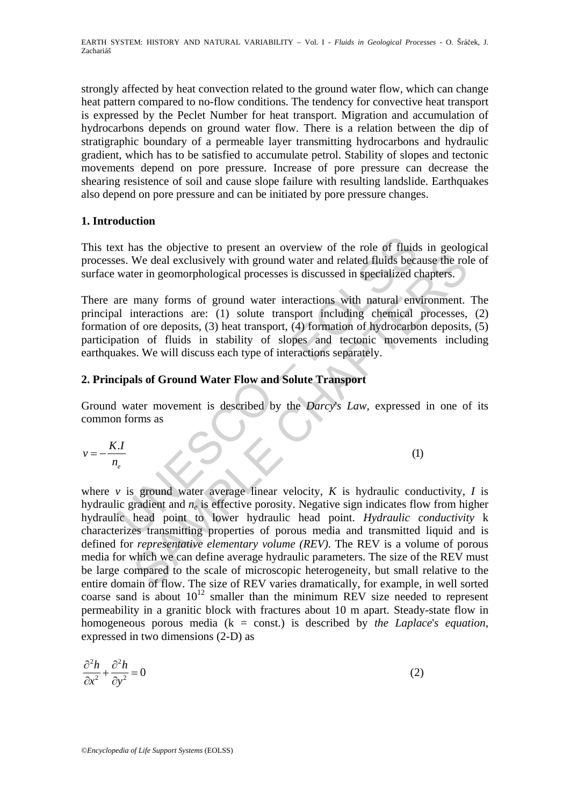strongly affected by heat convection related to the ground water flow, which can change heat pattern compared to no-flow conditions. The tendency for convective heat transport is expressed by the Peclet Number for heat transport. Migration and accumulation of hydrocarbons depends on ground water flow. There is a relation between the dip of stratigraphic boundary of a permeable layer transmitting hydrocarbons and hydraulic gradient, which has to be satisfied to accumulate petrol. Stability of slopes and tectonic movements depend on pore pressure. Increase of pore pressure can decrease the shearing resistence of soil and cause slope failure with resulting landslide. Earthquakes also depend on pore pressure and can be initiated by pore pressure changes.

## **1. Introduction**

This text has the objective to present an overview of the role of fluids in geological processes. We deal exclusively with ground water and related fluids because the role of surface water in geomorphological processes is discussed in specialized chapters.

It has the objective to present an overview of the role of fluids<br>
Sec. We deal exclusively with ground water and related fluids because<br>
water in geomorphological processes is discussed in specialized c<br>
ure many forms of There are many forms of ground water interactions with natural environment. The principal interactions are: (1) solute transport including chemical processes, (2) formation of ore deposits, (3) heat transport, (4) formation of hydrocarbon deposits, (5) participation of fluids in stability of slopes and tectonic movements including earthquakes. We will discuss each type of interactions separately.

# **2. Principals of Ground Water Flow and Solute Transport**

Ground water movement is described by the *Darcy*'*s Law,* expressed in one of its common forms as

$$
v = -\frac{K.I}{n_e}
$$
 (1)

We deal exclusively with ground water and elated fluids because the rol<br>We deal exclusively with ground water and related fluids because the rol<br>ter in geomorphological processes is discussed in specialized chapters.<br>
man where  $\nu$  is ground water average linear velocity,  $K$  is hydraulic conductivity,  $I$  is hydraulic gradient and *ne* is effective porosity. Negative sign indicates flow from higher hydraulic head point to lower hydraulic head point. *Hydraulic conductivity* k characterizes transmitting properties of porous media and transmitted liquid and is defined for *representative elementary volume (REV)*. The REV is a volume of porous media for which we can define average hydraulic parameters. The size of the REV must be large compared to the scale of microscopic heterogeneity, but small relative to the entire domain of flow. The size of REV varies dramatically, for example, in well sorted coarse sand is about  $10^{12}$  smaller than the minimum REV size needed to represent permeability in a granitic block with fractures about 10 m apart. Steady-state flow in homogeneous porous media (k = const.) is described by *the Laplace*'*s equation*, expressed in two dimensions (2-D) as

$$
\frac{\partial^2 h}{\partial x^2} + \frac{\partial^2 h}{\partial y^2} = 0
$$
 (2)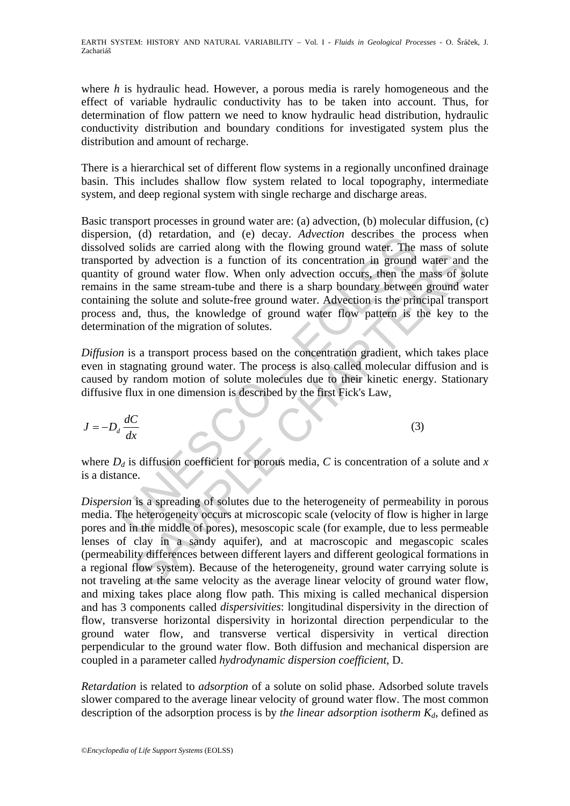EARTH SYSTEM: HISTORY AND NATURAL VARIABILITY – Vol. I - *Fluids in Geological Processes* - O. Šráček, J. Zachariáš

where *h* is hydraulic head. However, a porous media is rarely homogeneous and the effect of variable hydraulic conductivity has to be taken into account. Thus, for determination of flow pattern we need to know hydraulic head distribution, hydraulic conductivity distribution and boundary conditions for investigated system plus the distribution and amount of recharge.

There is a hierarchical set of different flow systems in a regionally unconfined drainage basin. This includes shallow flow system related to local topography, intermediate system, and deep regional system with single recharge and discharge areas.

on, (a) retardation, and (e) decay. *Advection* describes the choing of solids are carried along with the flowing ground water. The rited by advection is a function of its concentration in ground  $v$  of ground water flow. Basic transport processes in ground water are: (a) advection, (b) molecular diffusion, (c) dispersion, (d) retardation, and (e) decay. *Advection* describes the process when dissolved solids are carried along with the flowing ground water. The mass of solute transported by advection is a function of its concentration in ground water and the quantity of ground water flow. When only advection occurs, then the mass of solute remains in the same stream-tube and there is a sharp boundary between ground water containing the solute and solute-free ground water. Advection is the principal transport process and, thus, the knowledge of ground water flow pattern is the key to the determination of the migration of solutes.

*Diffusion* is a transport process based on the concentration gradient, which takes place even in stagnating ground water. The process is also called molecular diffusion and is caused by random motion of solute molecules due to their kinetic energy. Stationary diffusive flux in one dimension is described by the first Fick's Law,

$$
J = -D_d \frac{dC}{dx}
$$
 (3)

where  $D_d$  is diffusion coefficient for porous media, C is concentration of a solute and x is a distance.

The same streament the anti-magnetic methanol and the same that are not all by advection is a function of its concentration in ground water and<br>if ground water flow. When only advection occurs, then the mass of sc<br>the sam *Dispersion* is a spreading of solutes due to the heterogeneity of permeability in porous media. The heterogeneity occurs at microscopic scale (velocity of flow is higher in large pores and in the middle of pores), mesoscopic scale (for example, due to less permeable lenses of clay in a sandy aquifer), and at macroscopic and megascopic scales (permeability differences between different layers and different geological formations in a regional flow system). Because of the heterogeneity, ground water carrying solute is not traveling at the same velocity as the average linear velocity of ground water flow, and mixing takes place along flow path. This mixing is called mechanical dispersion and has 3 components called *dispersivities*: longitudinal dispersivity in the direction of flow, transverse horizontal dispersivity in horizontal direction perpendicular to the ground water flow, and transverse vertical dispersivity in vertical direction perpendicular to the ground water flow. Both diffusion and mechanical dispersion are coupled in a parameter called *hydrodynamic dispersion coefficient*, D.

*Retardation* is related to *adsorption* of a solute on solid phase. Adsorbed solute travels slower compared to the average linear velocity of ground water flow. The most common description of the adsorption process is by *the linear adsorption isotherm*  $K_d$ , defined as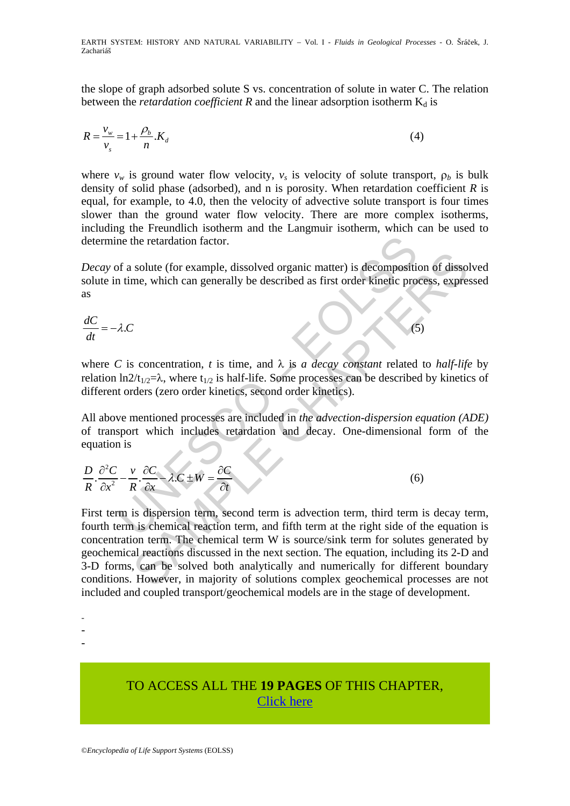the slope of graph adsorbed solute S vs. concentration of solute in water C. The relation between the *retardation coefficient* R and the linear adsorption isotherm  $K_d$  is

$$
R = \frac{v_w}{v_s} = 1 + \frac{\rho_b}{n} . K_d
$$
\n<sup>(4)</sup>

where  $v_w$  is ground water flow velocity,  $v_s$  is velocity of solute transport,  $\rho_b$  is bulk density of solid phase (adsorbed), and n is porosity. When retardation coefficient *R* is equal, for example, to 4.0, then the velocity of advective solute transport is four times slower than the ground water flow velocity. There are more complex isotherms, including the Freundlich isotherm and the Langmuir isotherm, which can be used to determine the retardation factor.

*Decay* of a solute (for example, dissolved organic matter) is decomposition of dissolved solute in time, which can generally be described as first order kinetic process, expressed as

$$
\frac{dC}{dt} = -\lambda C \tag{5}
$$

the the retardation factor.<br>
of a solute (for example, dissolved organic matter) is decomposition<br>
in time, which can generally be described as first order kinetic pro<br>  $λ.C$ <br>
is concentration, *t* is time, and  $λ$  is a d where *C* is concentration, *t* is time, and  $\lambda$  is *a decay constant* related to *half-life* by relation ln2/t<sub>1/2</sub>= $\lambda$ , where t<sub>1/2</sub> is half-life. Some processes can be described by kinetics of different orders (zero order kinetics, second order kinetics).

All above mentioned processes are included in *the advection-dispersion equation (ADE)* of transport which includes retardation and decay. One-dimensional form of the equation is

$$
\frac{D}{R} \cdot \frac{\partial^2 C}{\partial x^2} - \frac{v}{R} \cdot \frac{\partial C}{\partial x} - \lambda C \pm W = \frac{\partial C}{\partial t}
$$
(6)

solute (for example, dissolved organic matter) is decomposition of disson-<br>
me, which can generally be described as first order kinetic process, expre<br>  $(5)$ <br>
Solution can generally be described as first order kinetic pro First term is dispersion term, second term is advection term, third term is decay term, fourth term is chemical reaction term, and fifth term at the right side of the equation is concentration term. The chemical term W is source/sink term for solutes generated by geochemical reactions discussed in the next section. The equation, including its 2-D and 3-D forms, can be solved both analytically and numerically for different boundary conditions. However, in majority of solutions complex geochemical processes are not included and coupled transport/geochemical models are in the stage of development.

- -
- -

# TO ACCESS ALL THE **19 PAGES** OF THIS CHAPTER, [Click here](https://www.eolss.net/ebooklib/sc_cart.aspx?File=E1-01-02-09)

<sup>-</sup>